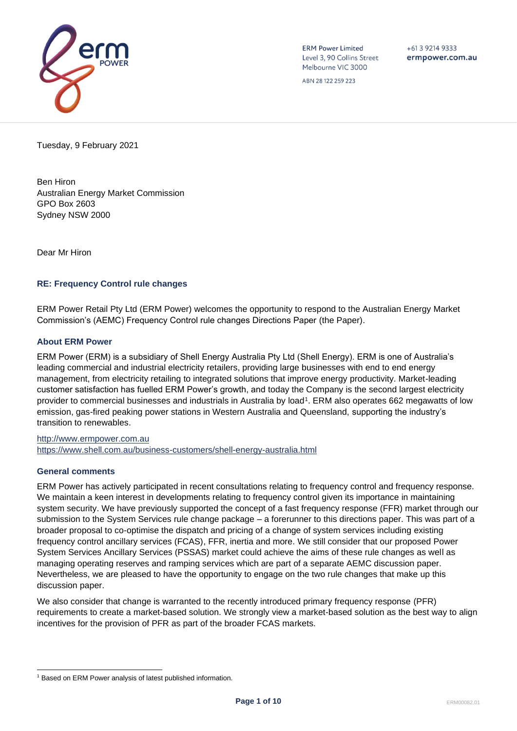

**ERM Power Limited** Level 3, 90 Collins Street Melbourne VIC 3000

 $+61$  3 9214 9333 ermpower.com.au

ABN 28 122 259 223

Tuesday, 9 February 2021

Ben Hiron Australian Energy Market Commission GPO Box 2603 Sydney NSW 2000

Dear Mr Hiron

# **RE: Frequency Control rule changes**

ERM Power Retail Pty Ltd (ERM Power) welcomes the opportunity to respond to the Australian Energy Market Commission's (AEMC) Frequency Control rule changes Directions Paper (the Paper).

## **About ERM Power**

ERM Power (ERM) is a subsidiary of Shell Energy Australia Pty Ltd (Shell Energy). ERM is one of Australia's leading commercial and industrial electricity retailers, providing large businesses with end to end energy management, from electricity retailing to integrated solutions that improve energy productivity. Market-leading customer satisfaction has fuelled ERM Power's growth, and today the Company is the second largest electricity provider to commercial businesses and industrials in Australia by load<sup>1</sup>. ERM also operates 662 megawatts of low emission, gas-fired peaking power stations in Western Australia and Queensland, supporting the industry's transition to renewables.

[http://www.ermpower.com.au](http://www.ermpower.com.au/) <https://www.shell.com.au/business-customers/shell-energy-australia.html>

### **General comments**

ERM Power has actively participated in recent consultations relating to frequency control and frequency response. We maintain a keen interest in developments relating to frequency control given its importance in maintaining system security. We have previously supported the concept of a fast frequency response (FFR) market through our submission to the System Services rule change package – a forerunner to this directions paper. This was part of a broader proposal to co-optimise the dispatch and pricing of a change of system services including existing frequency control ancillary services (FCAS), FFR, inertia and more. We still consider that our proposed Power System Services Ancillary Services (PSSAS) market could achieve the aims of these rule changes as well as managing operating reserves and ramping services which are part of a separate AEMC discussion paper. Nevertheless, we are pleased to have the opportunity to engage on the two rule changes that make up this discussion paper.

We also consider that change is warranted to the recently introduced primary frequency response (PFR) requirements to create a market-based solution. We strongly view a market-based solution as the best way to align incentives for the provision of PFR as part of the broader FCAS markets.

<sup>&</sup>lt;sup>1</sup> Based on ERM Power analysis of latest published information.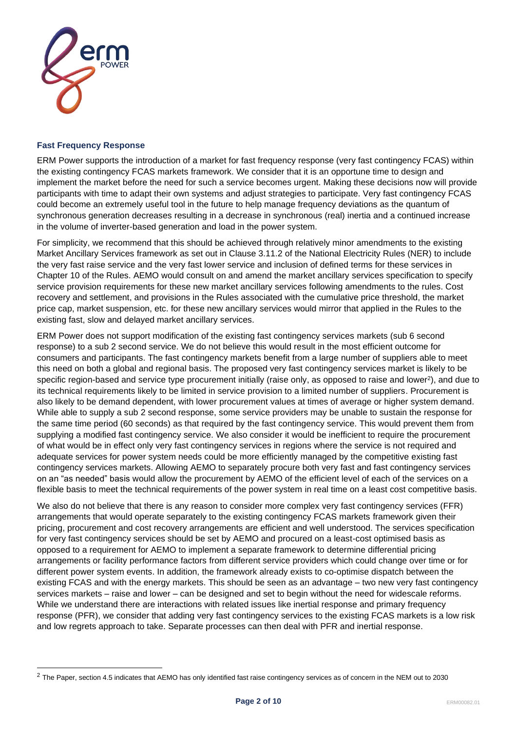

## **Fast Frequency Response**

ERM Power supports the introduction of a market for fast frequency response (very fast contingency FCAS) within the existing contingency FCAS markets framework. We consider that it is an opportune time to design and implement the market before the need for such a service becomes urgent. Making these decisions now will provide participants with time to adapt their own systems and adjust strategies to participate. Very fast contingency FCAS could become an extremely useful tool in the future to help manage frequency deviations as the quantum of synchronous generation decreases resulting in a decrease in synchronous (real) inertia and a continued increase in the volume of inverter-based generation and load in the power system.

For simplicity, we recommend that this should be achieved through relatively minor amendments to the existing Market Ancillary Services framework as set out in Clause 3.11.2 of the National Electricity Rules (NER) to include the very fast raise service and the very fast lower service and inclusion of defined terms for these services in Chapter 10 of the Rules. AEMO would consult on and amend the market ancillary services specification to specify service provision requirements for these new market ancillary services following amendments to the rules. Cost recovery and settlement, and provisions in the Rules associated with the cumulative price threshold, the market price cap, market suspension, etc. for these new ancillary services would mirror that applied in the Rules to the existing fast, slow and delayed market ancillary services.

ERM Power does not support modification of the existing fast contingency services markets (sub 6 second response) to a sub 2 second service. We do not believe this would result in the most efficient outcome for consumers and participants. The fast contingency markets benefit from a large number of suppliers able to meet this need on both a global and regional basis. The proposed very fast contingency services market is likely to be specific region-based and service type procurement initially (raise only, as opposed to raise and lower<sup>2</sup>), and due to its technical requirements likely to be limited in service provision to a limited number of suppliers. Procurement is also likely to be demand dependent, with lower procurement values at times of average or higher system demand. While able to supply a sub 2 second response, some service providers may be unable to sustain the response for the same time period (60 seconds) as that required by the fast contingency service. This would prevent them from supplying a modified fast contingency service. We also consider it would be inefficient to require the procurement of what would be in effect only very fast contingency services in regions where the service is not required and adequate services for power system needs could be more efficiently managed by the competitive existing fast contingency services markets. Allowing AEMO to separately procure both very fast and fast contingency services on an "as needed" basis would allow the procurement by AEMO of the efficient level of each of the services on a flexible basis to meet the technical requirements of the power system in real time on a least cost competitive basis.

We also do not believe that there is any reason to consider more complex very fast contingency services (FFR) arrangements that would operate separately to the existing contingency FCAS markets framework given their pricing, procurement and cost recovery arrangements are efficient and well understood. The services specification for very fast contingency services should be set by AEMO and procured on a least-cost optimised basis as opposed to a requirement for AEMO to implement a separate framework to determine differential pricing arrangements or facility performance factors from different service providers which could change over time or for different power system events. In addition, the framework already exists to co-optimise dispatch between the existing FCAS and with the energy markets. This should be seen as an advantage – two new very fast contingency services markets – raise and lower – can be designed and set to begin without the need for widescale reforms. While we understand there are interactions with related issues like inertial response and primary frequency response (PFR), we consider that adding very fast contingency services to the existing FCAS markets is a low risk and low regrets approach to take. Separate processes can then deal with PFR and inertial response.

 $2$  The Paper, section 4.5 indicates that AEMO has only identified fast raise contingency services as of concern in the NEM out to 2030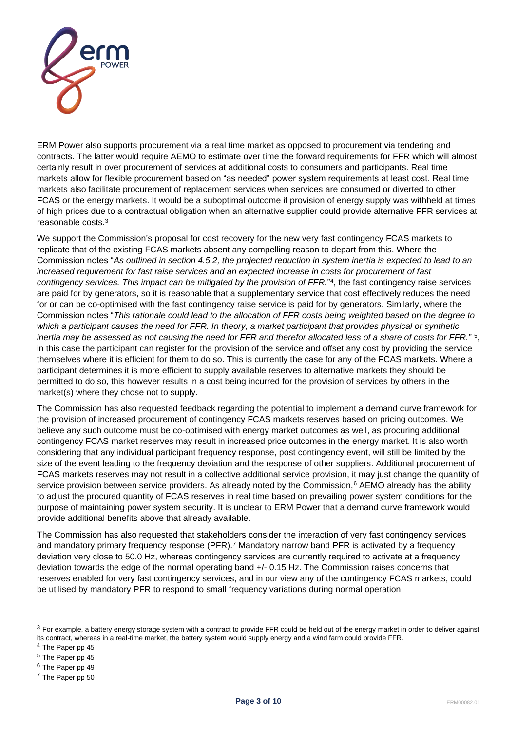

ERM Power also supports procurement via a real time market as opposed to procurement via tendering and contracts. The latter would require AEMO to estimate over time the forward requirements for FFR which will almost certainly result in over procurement of services at additional costs to consumers and participants. Real time markets allow for flexible procurement based on "as needed" power system requirements at least cost. Real time markets also facilitate procurement of replacement services when services are consumed or diverted to other FCAS or the energy markets. It would be a suboptimal outcome if provision of energy supply was withheld at times of high prices due to a contractual obligation when an alternative supplier could provide alternative FFR services at reasonable costs.<sup>3</sup>

We support the Commission's proposal for cost recovery for the new very fast contingency FCAS markets to replicate that of the existing FCAS markets absent any compelling reason to depart from this. Where the Commission notes "*As outlined in section 4.5.2, the projected reduction in system inertia is expected to lead to an increased requirement for fast raise services and an expected increase in costs for procurement of fast contingency services. This impact can be mitigated by the provision of FFR.*" 4 , the fast contingency raise services are paid for by generators, so it is reasonable that a supplementary service that cost effectively reduces the need for or can be co-optimised with the fast contingency raise service is paid for by generators. Similarly, where the Commission notes "*This rationale could lead to the allocation of FFR costs being weighted based on the degree to which a participant causes the need for FFR. In theory, a market participant that provides physical or synthetic inertia may be assessed as not causing the need for FFR and therefor allocated less of a share of costs for FFR.*" <sup>5</sup> , in this case the participant can register for the provision of the service and offset any cost by providing the service themselves where it is efficient for them to do so. This is currently the case for any of the FCAS markets. Where a participant determines it is more efficient to supply available reserves to alternative markets they should be permitted to do so, this however results in a cost being incurred for the provision of services by others in the market(s) where they chose not to supply.

The Commission has also requested feedback regarding the potential to implement a demand curve framework for the provision of increased procurement of contingency FCAS markets reserves based on pricing outcomes. We believe any such outcome must be co-optimised with energy market outcomes as well, as procuring additional contingency FCAS market reserves may result in increased price outcomes in the energy market. It is also worth considering that any individual participant frequency response, post contingency event, will still be limited by the size of the event leading to the frequency deviation and the response of other suppliers. Additional procurement of FCAS markets reserves may not result in a collective additional service provision, it may just change the quantity of service provision between service providers. As already noted by the Commission,<sup>6</sup> AEMO already has the ability to adjust the procured quantity of FCAS reserves in real time based on prevailing power system conditions for the purpose of maintaining power system security. It is unclear to ERM Power that a demand curve framework would provide additional benefits above that already available.

The Commission has also requested that stakeholders consider the interaction of very fast contingency services and mandatory primary frequency response (PFR).<sup>7</sup> Mandatory narrow band PFR is activated by a frequency deviation very close to 50.0 Hz, whereas contingency services are currently required to activate at a frequency deviation towards the edge of the normal operating band +/- 0.15 Hz. The Commission raises concerns that reserves enabled for very fast contingency services, and in our view any of the contingency FCAS markets, could be utilised by mandatory PFR to respond to small frequency variations during normal operation.

 $3$  For example, a battery energy storage system with a contract to provide FFR could be held out of the energy market in order to deliver against its contract, whereas in a real-time market, the battery system would supply energy and a wind farm could provide FFR.

<sup>4</sup> The Paper pp 45

<sup>5</sup> The Paper pp 45

<sup>6</sup> The Paper pp 49

<sup>7</sup> The Paper pp 50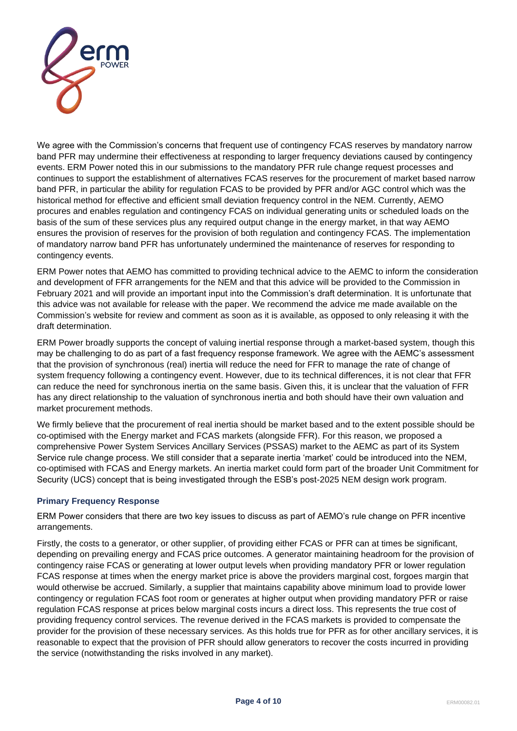

We agree with the Commission's concerns that frequent use of contingency FCAS reserves by mandatory narrow band PFR may undermine their effectiveness at responding to larger frequency deviations caused by contingency events. ERM Power noted this in our submissions to the mandatory PFR rule change request processes and continues to support the establishment of alternatives FCAS reserves for the procurement of market based narrow band PFR, in particular the ability for regulation FCAS to be provided by PFR and/or AGC control which was the historical method for effective and efficient small deviation frequency control in the NEM. Currently, AEMO procures and enables regulation and contingency FCAS on individual generating units or scheduled loads on the basis of the sum of these services plus any required output change in the energy market, in that way AEMO ensures the provision of reserves for the provision of both regulation and contingency FCAS. The implementation of mandatory narrow band PFR has unfortunately undermined the maintenance of reserves for responding to contingency events.

ERM Power notes that AEMO has committed to providing technical advice to the AEMC to inform the consideration and development of FFR arrangements for the NEM and that this advice will be provided to the Commission in February 2021 and will provide an important input into the Commission's draft determination. It is unfortunate that this advice was not available for release with the paper. We recommend the advice me made available on the Commission's website for review and comment as soon as it is available, as opposed to only releasing it with the draft determination.

ERM Power broadly supports the concept of valuing inertial response through a market-based system, though this may be challenging to do as part of a fast frequency response framework. We agree with the AEMC's assessment that the provision of synchronous (real) inertia will reduce the need for FFR to manage the rate of change of system frequency following a contingency event. However, due to its technical differences, it is not clear that FFR can reduce the need for synchronous inertia on the same basis. Given this, it is unclear that the valuation of FFR has any direct relationship to the valuation of synchronous inertia and both should have their own valuation and market procurement methods.

We firmly believe that the procurement of real inertia should be market based and to the extent possible should be co-optimised with the Energy market and FCAS markets (alongside FFR). For this reason, we proposed a comprehensive Power System Services Ancillary Services (PSSAS) market to the AEMC as part of its System Service rule change process. We still consider that a separate inertia 'market' could be introduced into the NEM, co-optimised with FCAS and Energy markets. An inertia market could form part of the broader Unit Commitment for Security (UCS) concept that is being investigated through the ESB's post-2025 NEM design work program.

## **Primary Frequency Response**

ERM Power considers that there are two key issues to discuss as part of AEMO's rule change on PFR incentive arrangements.

Firstly, the costs to a generator, or other supplier, of providing either FCAS or PFR can at times be significant, depending on prevailing energy and FCAS price outcomes. A generator maintaining headroom for the provision of contingency raise FCAS or generating at lower output levels when providing mandatory PFR or lower regulation FCAS response at times when the energy market price is above the providers marginal cost, forgoes margin that would otherwise be accrued. Similarly, a supplier that maintains capability above minimum load to provide lower contingency or regulation FCAS foot room or generates at higher output when providing mandatory PFR or raise regulation FCAS response at prices below marginal costs incurs a direct loss. This represents the true cost of providing frequency control services. The revenue derived in the FCAS markets is provided to compensate the provider for the provision of these necessary services. As this holds true for PFR as for other ancillary services, it is reasonable to expect that the provision of PFR should allow generators to recover the costs incurred in providing the service (notwithstanding the risks involved in any market).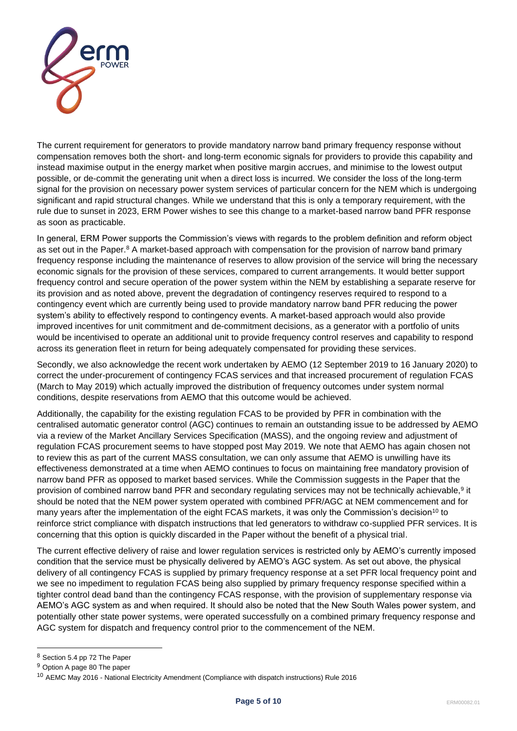

The current requirement for generators to provide mandatory narrow band primary frequency response without compensation removes both the short- and long-term economic signals for providers to provide this capability and instead maximise output in the energy market when positive margin accrues, and minimise to the lowest output possible, or de-commit the generating unit when a direct loss is incurred. We consider the loss of the long-term signal for the provision on necessary power system services of particular concern for the NEM which is undergoing significant and rapid structural changes. While we understand that this is only a temporary requirement, with the rule due to sunset in 2023, ERM Power wishes to see this change to a market-based narrow band PFR response as soon as practicable.

In general, ERM Power supports the Commission's views with regards to the problem definition and reform object as set out in the Paper.<sup>8</sup> A market-based approach with compensation for the provision of narrow band primary frequency response including the maintenance of reserves to allow provision of the service will bring the necessary economic signals for the provision of these services, compared to current arrangements. It would better support frequency control and secure operation of the power system within the NEM by establishing a separate reserve for its provision and as noted above, prevent the degradation of contingency reserves required to respond to a contingency event which are currently being used to provide mandatory narrow band PFR reducing the power system's ability to effectively respond to contingency events. A market-based approach would also provide improved incentives for unit commitment and de-commitment decisions, as a generator with a portfolio of units would be incentivised to operate an additional unit to provide frequency control reserves and capability to respond across its generation fleet in return for being adequately compensated for providing these services.

Secondly, we also acknowledge the recent work undertaken by AEMO (12 September 2019 to 16 January 2020) to correct the under-procurement of contingency FCAS services and that increased procurement of regulation FCAS (March to May 2019) which actually improved the distribution of frequency outcomes under system normal conditions, despite reservations from AEMO that this outcome would be achieved.

Additionally, the capability for the existing regulation FCAS to be provided by PFR in combination with the centralised automatic generator control (AGC) continues to remain an outstanding issue to be addressed by AEMO via a review of the Market Ancillary Services Specification (MASS), and the ongoing review and adjustment of regulation FCAS procurement seems to have stopped post May 2019. We note that AEMO has again chosen not to review this as part of the current MASS consultation, we can only assume that AEMO is unwilling have its effectiveness demonstrated at a time when AEMO continues to focus on maintaining free mandatory provision of narrow band PFR as opposed to market based services. While the Commission suggests in the Paper that the provision of combined narrow band PFR and secondary regulating services may not be technically achievable,<sup>9</sup> it should be noted that the NEM power system operated with combined PFR/AGC at NEM commencement and for many years after the implementation of the eight FCAS markets, it was only the Commission's decision<sup>10</sup> to reinforce strict compliance with dispatch instructions that led generators to withdraw co-supplied PFR services. It is concerning that this option is quickly discarded in the Paper without the benefit of a physical trial.

The current effective delivery of raise and lower regulation services is restricted only by AEMO's currently imposed condition that the service must be physically delivered by AEMO's AGC system. As set out above, the physical delivery of all contingency FCAS is supplied by primary frequency response at a set PFR local frequency point and we see no impediment to regulation FCAS being also supplied by primary frequency response specified within a tighter control dead band than the contingency FCAS response, with the provision of supplementary response via AEMO's AGC system as and when required. It should also be noted that the New South Wales power system, and potentially other state power systems, were operated successfully on a combined primary frequency response and AGC system for dispatch and frequency control prior to the commencement of the NEM.

<sup>8</sup> Section 5.4 pp 72 The Paper

<sup>9</sup> Option A page 80 The paper

<sup>10</sup> AEMC May 2016 - National Electricity Amendment (Compliance with dispatch instructions) Rule 2016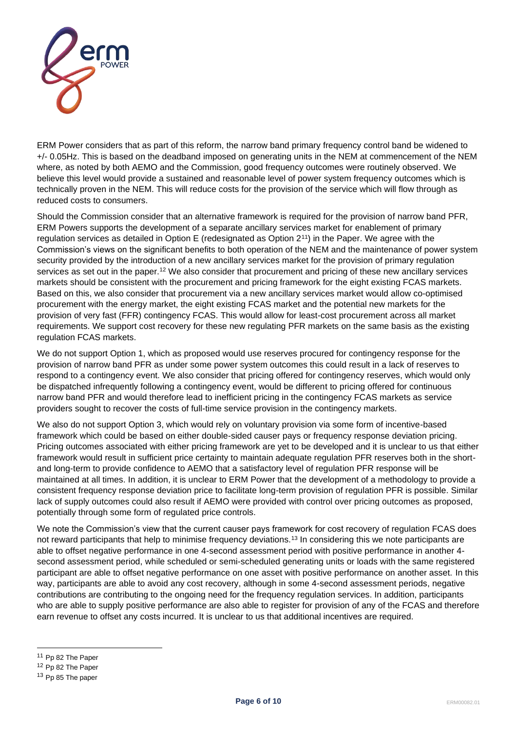

ERM Power considers that as part of this reform, the narrow band primary frequency control band be widened to +/- 0.05Hz. This is based on the deadband imposed on generating units in the NEM at commencement of the NEM where, as noted by both AEMO and the Commission, good frequency outcomes were routinely observed. We believe this level would provide a sustained and reasonable level of power system frequency outcomes which is technically proven in the NEM. This will reduce costs for the provision of the service which will flow through as reduced costs to consumers.

Should the Commission consider that an alternative framework is required for the provision of narrow band PFR, ERM Powers supports the development of a separate ancillary services market for enablement of primary regulation services as detailed in Option E (redesignated as Option 2<sup>11</sup>) in the Paper. We agree with the Commission's views on the significant benefits to both operation of the NEM and the maintenance of power system security provided by the introduction of a new ancillary services market for the provision of primary regulation services as set out in the paper.<sup>12</sup> We also consider that procurement and pricing of these new ancillary services markets should be consistent with the procurement and pricing framework for the eight existing FCAS markets. Based on this, we also consider that procurement via a new ancillary services market would allow co-optimised procurement with the energy market, the eight existing FCAS market and the potential new markets for the provision of very fast (FFR) contingency FCAS. This would allow for least-cost procurement across all market requirements. We support cost recovery for these new regulating PFR markets on the same basis as the existing regulation FCAS markets.

We do not support Option 1, which as proposed would use reserves procured for contingency response for the provision of narrow band PFR as under some power system outcomes this could result in a lack of reserves to respond to a contingency event. We also consider that pricing offered for contingency reserves, which would only be dispatched infrequently following a contingency event, would be different to pricing offered for continuous narrow band PFR and would therefore lead to inefficient pricing in the contingency FCAS markets as service providers sought to recover the costs of full-time service provision in the contingency markets.

We also do not support Option 3, which would rely on voluntary provision via some form of incentive-based framework which could be based on either double-sided causer pays or frequency response deviation pricing. Pricing outcomes associated with either pricing framework are yet to be developed and it is unclear to us that either framework would result in sufficient price certainty to maintain adequate regulation PFR reserves both in the shortand long-term to provide confidence to AEMO that a satisfactory level of regulation PFR response will be maintained at all times. In addition, it is unclear to ERM Power that the development of a methodology to provide a consistent frequency response deviation price to facilitate long-term provision of regulation PFR is possible. Similar lack of supply outcomes could also result if AEMO were provided with control over pricing outcomes as proposed, potentially through some form of regulated price controls.

We note the Commission's view that the current causer pays framework for cost recovery of regulation FCAS does not reward participants that help to minimise frequency deviations.<sup>13</sup> In considering this we note participants are able to offset negative performance in one 4-second assessment period with positive performance in another 4 second assessment period, while scheduled or semi-scheduled generating units or loads with the same registered participant are able to offset negative performance on one asset with positive performance on another asset. In this way, participants are able to avoid any cost recovery, although in some 4-second assessment periods, negative contributions are contributing to the ongoing need for the frequency regulation services. In addition, participants who are able to supply positive performance are also able to register for provision of any of the FCAS and therefore earn revenue to offset any costs incurred. It is unclear to us that additional incentives are required.

<sup>11</sup> Pp 82 The Paper

<sup>12</sup> Pp 82 The Paper

<sup>&</sup>lt;sup>13</sup> Pp 85 The paper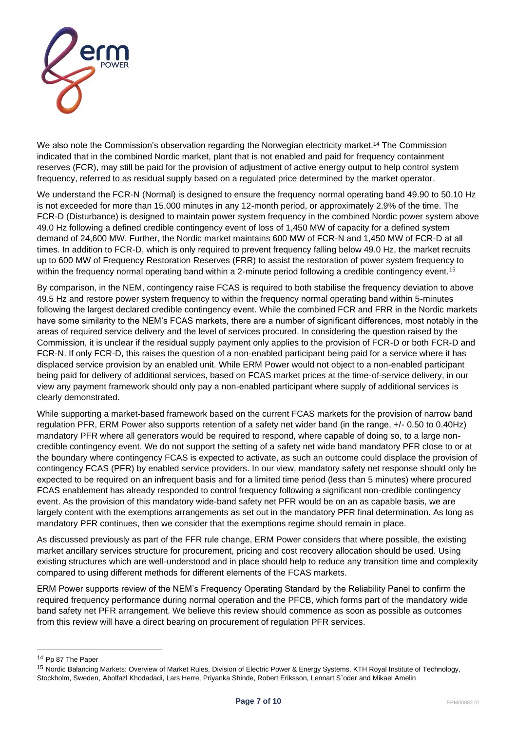

We also note the Commission's observation regarding the Norwegian electricity market.<sup>14</sup> The Commission indicated that in the combined Nordic market, plant that is not enabled and paid for frequency containment reserves (FCR), may still be paid for the provision of adjustment of active energy output to help control system frequency, referred to as residual supply based on a regulated price determined by the market operator.

We understand the FCR-N (Normal) is designed to ensure the frequency normal operating band 49.90 to 50.10 Hz is not exceeded for more than 15,000 minutes in any 12-month period, or approximately 2.9% of the time. The FCR-D (Disturbance) is designed to maintain power system frequency in the combined Nordic power system above 49.0 Hz following a defined credible contingency event of loss of 1,450 MW of capacity for a defined system demand of 24,600 MW. Further, the Nordic market maintains 600 MW of FCR-N and 1,450 MW of FCR-D at all times. In addition to FCR-D, which is only required to prevent frequency falling below 49.0 Hz, the market recruits up to 600 MW of Frequency Restoration Reserves (FRR) to assist the restoration of power system frequency to within the frequency normal operating band within a 2-minute period following a credible contingency event.<sup>15</sup>

By comparison, in the NEM, contingency raise FCAS is required to both stabilise the frequency deviation to above 49.5 Hz and restore power system frequency to within the frequency normal operating band within 5-minutes following the largest declared credible contingency event. While the combined FCR and FRR in the Nordic markets have some similarity to the NEM's FCAS markets, there are a number of significant differences, most notably in the areas of required service delivery and the level of services procured. In considering the question raised by the Commission, it is unclear if the residual supply payment only applies to the provision of FCR-D or both FCR-D and FCR-N. If only FCR-D, this raises the question of a non-enabled participant being paid for a service where it has displaced service provision by an enabled unit. While ERM Power would not object to a non-enabled participant being paid for delivery of additional services, based on FCAS market prices at the time-of-service delivery, in our view any payment framework should only pay a non-enabled participant where supply of additional services is clearly demonstrated.

While supporting a market-based framework based on the current FCAS markets for the provision of narrow band regulation PFR, ERM Power also supports retention of a safety net wider band (in the range, +/- 0.50 to 0.40Hz) mandatory PFR where all generators would be required to respond, where capable of doing so, to a large noncredible contingency event. We do not support the setting of a safety net wide band mandatory PFR close to or at the boundary where contingency FCAS is expected to activate, as such an outcome could displace the provision of contingency FCAS (PFR) by enabled service providers. In our view, mandatory safety net response should only be expected to be required on an infrequent basis and for a limited time period (less than 5 minutes) where procured FCAS enablement has already responded to control frequency following a significant non-credible contingency event. As the provision of this mandatory wide-band safety net PFR would be on an as capable basis, we are largely content with the exemptions arrangements as set out in the mandatory PFR final determination. As long as mandatory PFR continues, then we consider that the exemptions regime should remain in place.

As discussed previously as part of the FFR rule change, ERM Power considers that where possible, the existing market ancillary services structure for procurement, pricing and cost recovery allocation should be used. Using existing structures which are well-understood and in place should help to reduce any transition time and complexity compared to using different methods for different elements of the FCAS markets.

ERM Power supports review of the NEM's Frequency Operating Standard by the Reliability Panel to confirm the required frequency performance during normal operation and the PFCB, which forms part of the mandatory wide band safety net PFR arrangement. We believe this review should commence as soon as possible as outcomes from this review will have a direct bearing on procurement of regulation PFR services.

<sup>14</sup> Pp 87 The Paper

<sup>15</sup> Nordic Balancing Markets: Overview of Market Rules, Division of Electric Power & Energy Systems, KTH Royal Institute of Technology, Stockholm, Sweden, Abolfazl Khodadadi, Lars Herre, Priyanka Shinde, Robert Eriksson, Lennart S¨oder and Mikael Amelin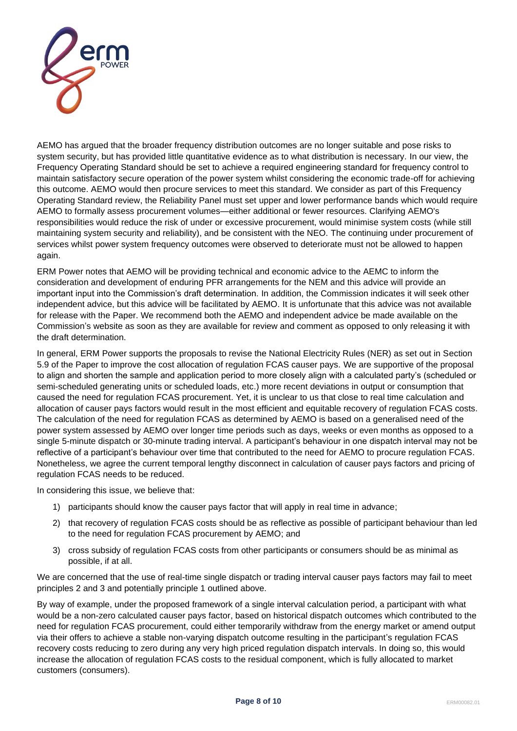

AEMO has argued that the broader frequency distribution outcomes are no longer suitable and pose risks to system security, but has provided little quantitative evidence as to what distribution is necessary. In our view, the Frequency Operating Standard should be set to achieve a required engineering standard for frequency control to maintain satisfactory secure operation of the power system whilst considering the economic trade-off for achieving this outcome. AEMO would then procure services to meet this standard. We consider as part of this Frequency Operating Standard review, the Reliability Panel must set upper and lower performance bands which would require AEMO to formally assess procurement volumes—either additional or fewer resources. Clarifying AEMO's responsibilities would reduce the risk of under or excessive procurement, would minimise system costs (while still maintaining system security and reliability), and be consistent with the NEO. The continuing under procurement of services whilst power system frequency outcomes were observed to deteriorate must not be allowed to happen again.

ERM Power notes that AEMO will be providing technical and economic advice to the AEMC to inform the consideration and development of enduring PFR arrangements for the NEM and this advice will provide an important input into the Commission's draft determination. In addition, the Commission indicates it will seek other independent advice, but this advice will be facilitated by AEMO. It is unfortunate that this advice was not available for release with the Paper. We recommend both the AEMO and independent advice be made available on the Commission's website as soon as they are available for review and comment as opposed to only releasing it with the draft determination.

In general, ERM Power supports the proposals to revise the National Electricity Rules (NER) as set out in Section 5.9 of the Paper to improve the cost allocation of regulation FCAS causer pays. We are supportive of the proposal to align and shorten the sample and application period to more closely align with a calculated party's (scheduled or semi-scheduled generating units or scheduled loads, etc.) more recent deviations in output or consumption that caused the need for regulation FCAS procurement. Yet, it is unclear to us that close to real time calculation and allocation of causer pays factors would result in the most efficient and equitable recovery of regulation FCAS costs. The calculation of the need for regulation FCAS as determined by AEMO is based on a generalised need of the power system assessed by AEMO over longer time periods such as days, weeks or even months as opposed to a single 5-minute dispatch or 30-minute trading interval. A participant's behaviour in one dispatch interval may not be reflective of a participant's behaviour over time that contributed to the need for AEMO to procure regulation FCAS. Nonetheless, we agree the current temporal lengthy disconnect in calculation of causer pays factors and pricing of regulation FCAS needs to be reduced.

In considering this issue, we believe that:

- 1) participants should know the causer pays factor that will apply in real time in advance;
- 2) that recovery of regulation FCAS costs should be as reflective as possible of participant behaviour than led to the need for regulation FCAS procurement by AEMO; and
- 3) cross subsidy of regulation FCAS costs from other participants or consumers should be as minimal as possible, if at all.

We are concerned that the use of real-time single dispatch or trading interval causer pays factors may fail to meet principles 2 and 3 and potentially principle 1 outlined above.

By way of example, under the proposed framework of a single interval calculation period, a participant with what would be a non-zero calculated causer pays factor, based on historical dispatch outcomes which contributed to the need for regulation FCAS procurement, could either temporarily withdraw from the energy market or amend output via their offers to achieve a stable non-varying dispatch outcome resulting in the participant's regulation FCAS recovery costs reducing to zero during any very high priced regulation dispatch intervals. In doing so, this would increase the allocation of regulation FCAS costs to the residual component, which is fully allocated to market customers (consumers).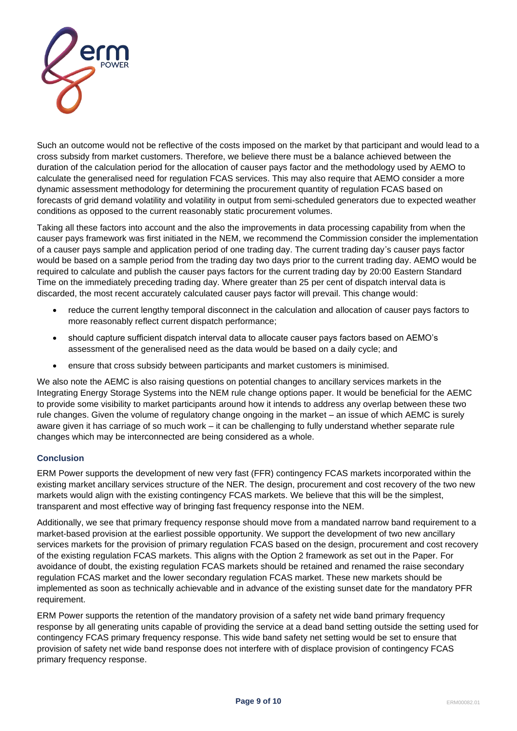

Such an outcome would not be reflective of the costs imposed on the market by that participant and would lead to a cross subsidy from market customers. Therefore, we believe there must be a balance achieved between the duration of the calculation period for the allocation of causer pays factor and the methodology used by AEMO to calculate the generalised need for regulation FCAS services. This may also require that AEMO consider a more dynamic assessment methodology for determining the procurement quantity of regulation FCAS based on forecasts of grid demand volatility and volatility in output from semi-scheduled generators due to expected weather conditions as opposed to the current reasonably static procurement volumes.

Taking all these factors into account and the also the improvements in data processing capability from when the causer pays framework was first initiated in the NEM, we recommend the Commission consider the implementation of a causer pays sample and application period of one trading day. The current trading day's causer pays factor would be based on a sample period from the trading day two days prior to the current trading day. AEMO would be required to calculate and publish the causer pays factors for the current trading day by 20:00 Eastern Standard Time on the immediately preceding trading day. Where greater than 25 per cent of dispatch interval data is discarded, the most recent accurately calculated causer pays factor will prevail. This change would:

- reduce the current lengthy temporal disconnect in the calculation and allocation of causer pays factors to more reasonably reflect current dispatch performance;
- should capture sufficient dispatch interval data to allocate causer pays factors based on AEMO's assessment of the generalised need as the data would be based on a daily cycle; and
- ensure that cross subsidy between participants and market customers is minimised.

We also note the AEMC is also raising questions on potential changes to ancillary services markets in the Integrating Energy Storage Systems into the NEM rule change options paper. It would be beneficial for the AEMC to provide some visibility to market participants around how it intends to address any overlap between these two rule changes. Given the volume of regulatory change ongoing in the market – an issue of which AEMC is surely aware given it has carriage of so much work – it can be challenging to fully understand whether separate rule changes which may be interconnected are being considered as a whole.

## **Conclusion**

ERM Power supports the development of new very fast (FFR) contingency FCAS markets incorporated within the existing market ancillary services structure of the NER. The design, procurement and cost recovery of the two new markets would align with the existing contingency FCAS markets. We believe that this will be the simplest, transparent and most effective way of bringing fast frequency response into the NEM.

Additionally, we see that primary frequency response should move from a mandated narrow band requirement to a market-based provision at the earliest possible opportunity. We support the development of two new ancillary services markets for the provision of primary regulation FCAS based on the design, procurement and cost recovery of the existing regulation FCAS markets. This aligns with the Option 2 framework as set out in the Paper. For avoidance of doubt, the existing regulation FCAS markets should be retained and renamed the raise secondary regulation FCAS market and the lower secondary regulation FCAS market. These new markets should be implemented as soon as technically achievable and in advance of the existing sunset date for the mandatory PFR requirement.

ERM Power supports the retention of the mandatory provision of a safety net wide band primary frequency response by all generating units capable of providing the service at a dead band setting outside the setting used for contingency FCAS primary frequency response. This wide band safety net setting would be set to ensure that provision of safety net wide band response does not interfere with of displace provision of contingency FCAS primary frequency response.